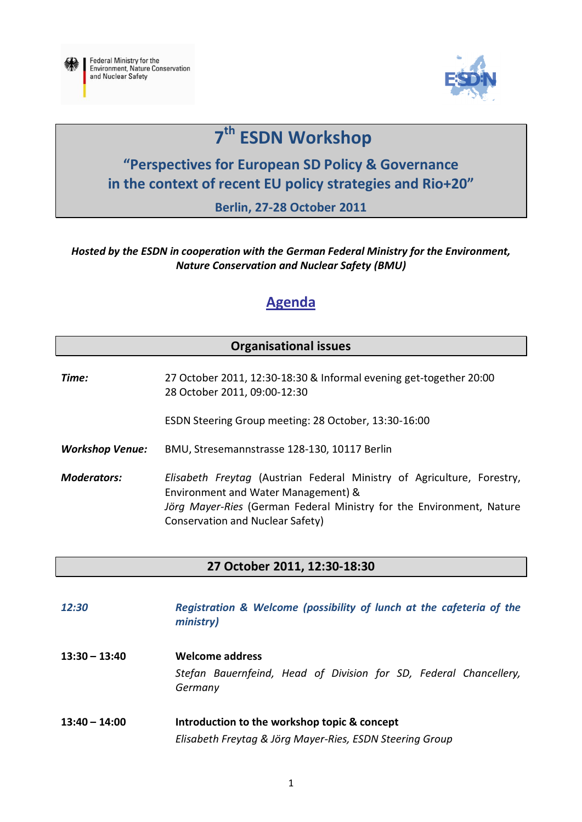



# **7 th ESDN Workshop**

## **"Perspectives for European SD Policy & Governance in the context of recent EU policy strategies and Rio+20"**

**Berlin, 27-28 October 2011**

#### *Hosted by the ESDN in cooperation with the German Federal Ministry for the Environment, Nature Conservation and Nuclear Safety (BMU)*

### **Agenda**

#### **Organisational issues**

*Time:* 27 October 2011, 12:30-18:30 & Informal evening get-together 20:00 28 October 2011, 09:00-12:30

ESDN Steering Group meeting: 28 October, 13:30-16:00

*Workshop Venue:* BMU, Stresemannstrasse 128-130, 10117 Berlin

*Moderators: Elisabeth Freytag* (Austrian Federal Ministry of Agriculture, Forestry, Environment and Water Management) & *Jörg Mayer-Ries* (German Federal Ministry for the Environment, Nature Conservation and Nuclear Safety)

#### **27 October 2011, 12:30-18:30**

| 12:30           | Registration & Welcome (possibility of lunch at the cafeteria of the<br>ministry) |
|-----------------|-----------------------------------------------------------------------------------|
| $13:30 - 13:40$ | <b>Welcome address</b>                                                            |
|                 | Stefan Bauernfeind, Head of Division for SD, Federal Chancellery,<br>Germany      |
| $13:40 - 14:00$ | Introduction to the workshop topic & concept                                      |
|                 | Elisabeth Freytag & Jörg Mayer-Ries, ESDN Steering Group                          |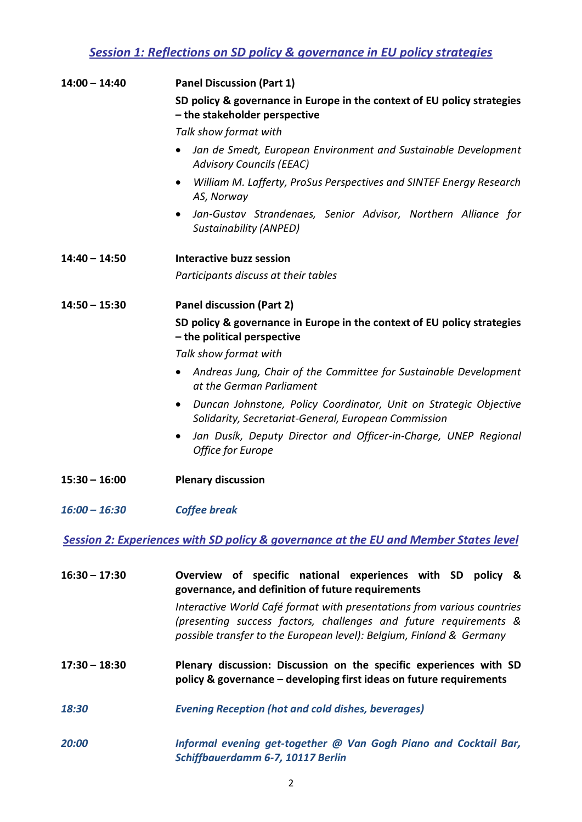#### *Session 1: Reflections on SD policy & governance in EU policy strategies*

| $14:00 - 14:40$ | <b>Panel Discussion (Part 1)</b>                                                                                                       |
|-----------------|----------------------------------------------------------------------------------------------------------------------------------------|
|                 | SD policy & governance in Europe in the context of EU policy strategies<br>- the stakeholder perspective                               |
|                 | Talk show format with                                                                                                                  |
|                 | Jan de Smedt, European Environment and Sustainable Development<br><b>Advisory Councils (EEAC)</b>                                      |
|                 | William M. Lafferty, ProSus Perspectives and SINTEF Energy Research<br>AS, Norway                                                      |
|                 | Jan-Gustav Strandenaes, Senior Advisor, Northern Alliance for<br><b>Sustainability (ANPED)</b>                                         |
| $14:40 - 14:50$ | Interactive buzz session                                                                                                               |
|                 | Participants discuss at their tables                                                                                                   |
| $14:50 - 15:30$ | <b>Panel discussion (Part 2)</b>                                                                                                       |
|                 | SD policy & governance in Europe in the context of EU policy strategies<br>- the political perspective                                 |
|                 | Talk show format with                                                                                                                  |
|                 | Andreas Jung, Chair of the Committee for Sustainable Development<br>at the German Parliament                                           |
|                 | Duncan Johnstone, Policy Coordinator, Unit on Strategic Objective<br>$\bullet$<br>Solidarity, Secretariat-General, European Commission |
|                 | Jan Dusík, Deputy Director and Officer-in-Charge, UNEP Regional<br><b>Office for Europe</b>                                            |
| $15:30 - 16:00$ | <b>Plenary discussion</b>                                                                                                              |
| $16:00 - 16:30$ | <b>Coffee break</b>                                                                                                                    |
|                 | <b>Session 2: Experiences with SD policy &amp; governance at the EU and Member States level</b>                                        |
| $16:30 - 17:30$ | Overview of specific national experiences with SD policy &<br>governance, and definition of future requirements                        |
|                 | Interactive World Café format with presentations from various countries                                                                |

*(presenting success factors, challenges and future requirements & possible transfer to the European level): Belgium, Finland & Germany*

- **17:30 – 18:30 Plenary discussion: Discussion on the specific experiences with SD policy & governance – developing first ideas on future requirements**
- *18:30 Evening Reception (hot and cold dishes, beverages)*
- *20:00 Informal evening get-together @ Van Gogh Piano and Cocktail Bar, Schiffbauerdamm 6-7, 10117 Berlin*